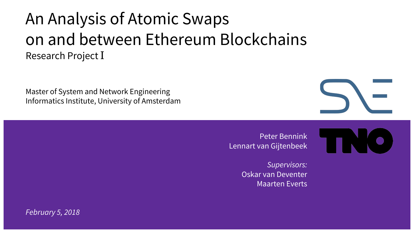#### An Analysis of Atomic Swaps on and between Ethereum Blockchains Research Project I

Master of System and Network Engineering Informatics Institute, University of Amsterdam

> Peter Bennink Lennart van Gijtenbeek

> > *Supervisors:* Oskar van Deventer Maarten Everts

*February 5, 2018*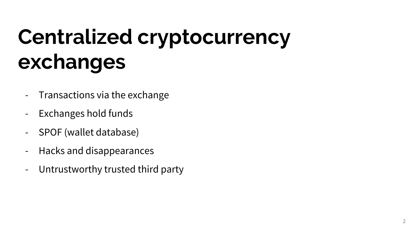# **Centralized cryptocurrency exchanges**

- Transactions via the exchange
- Exchanges hold funds
- SPOF (wallet database)
- Hacks and disappearances
- Untrustworthy trusted third party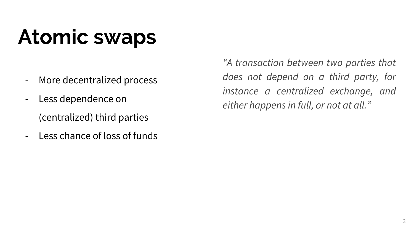# **Atomic swaps**

- More decentralized process
- Less dependence on (centralized) third parties
- Less chance of loss of funds

*"A transaction between two parties that does not depend on a third party, for instance a centralized exchange, and either happens in full, or not at all."*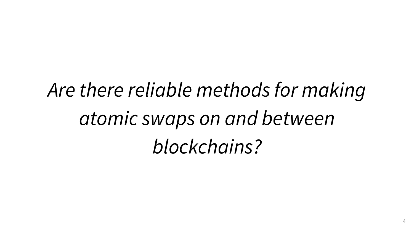*Are there reliable methods for making atomic swaps on and between blockchains?*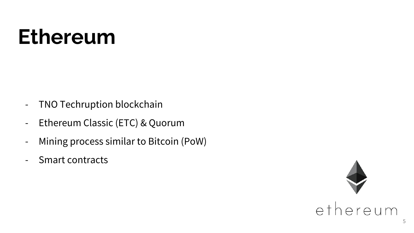### **Ethereum**

- TNO Techruption blockchain
- Ethereum Classic (ETC) & Quorum
- Mining process similar to Bitcoin (PoW)
- Smart contracts

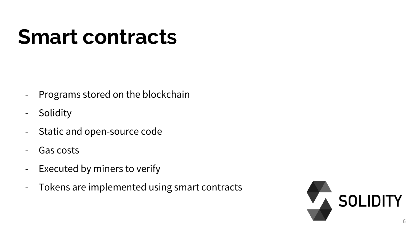### **Smart contracts**

- Programs stored on the blockchain
- Solidity
- Static and open-source code
- Gas costs
- Executed by miners to verify
- Tokens are implemented using smart contracts

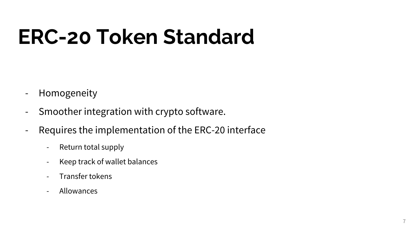# **ERC-20 Token Standard**

- Homogeneity
- Smoother integration with crypto software.
- Requires the implementation of the ERC-20 interface
	- Return total supply
	- Keep track of wallet balances
	- Transfer tokens
	- Allowances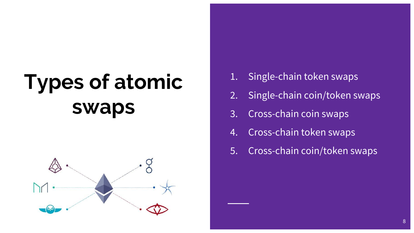# **Types of atomic swaps**



- Single-chain token swaps
- 2. Single-chain coin/token swaps
- 3. Cross-chain coin swaps
- 4. Cross-chain token swaps
- 5. Cross-chain coin/token swaps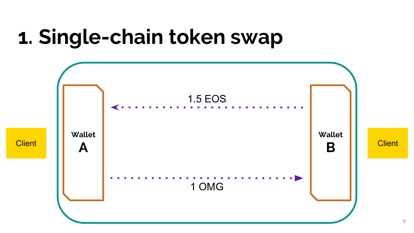### **1. Single-chain token swap**

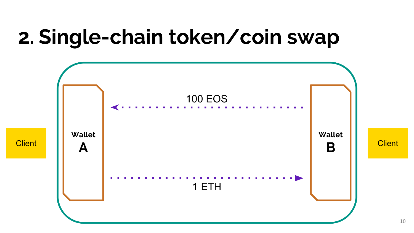### **2. Single-chain token/coin swap**

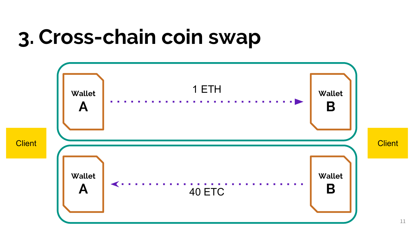### **3. Cross-chain coin swap**

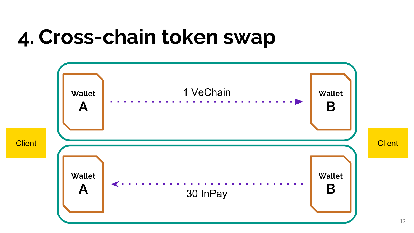### **4. Cross-chain token swap**

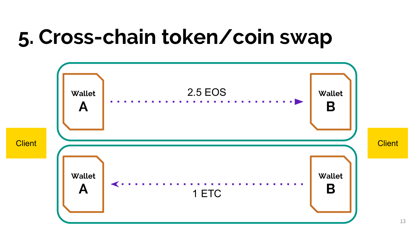### **5. Cross-chain token/coin swap**

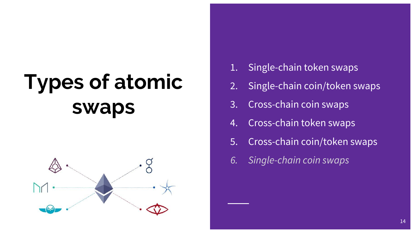# **Types of atomic swaps**



- 1. Single-chain token swaps
- 2. Single-chain coin/token swaps
- 3. Cross-chain coin swaps
- 4. Cross-chain token swaps
- 5. Cross-chain coin/token swaps
- *6. Single-chain coin swaps*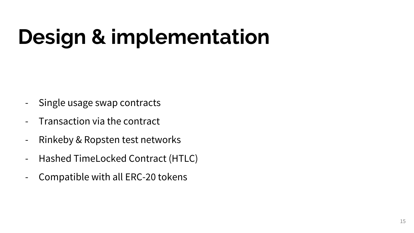# **Design & implementation**

- Single usage swap contracts
- Transaction via the contract
- Rinkeby & Ropsten test networks
- Hashed TimeLocked Contract (HTLC)
- Compatible with all ERC-20 tokens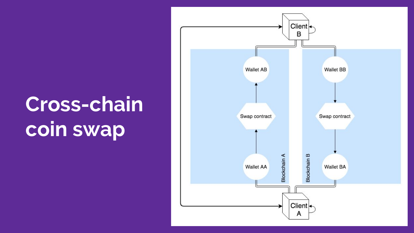### **Cross-chain coin swap**

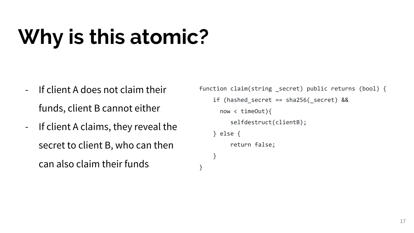# **Why is this atomic?**

- If client A does not claim their funds, client B cannot either
- If client A claims, they reveal the secret to client B, who can then can also claim their funds

}

```
function claim(string secret) public returns (bool) {
if (hashed secret == sha256( secret) &8 now < timeOut){
      selfdestruct(clientB);
 } else {
      return false;
 }
```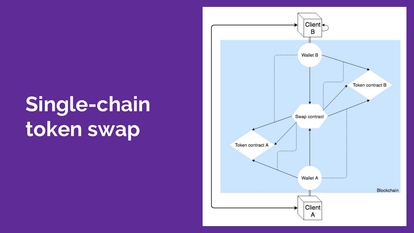# **Single-chain token swap**

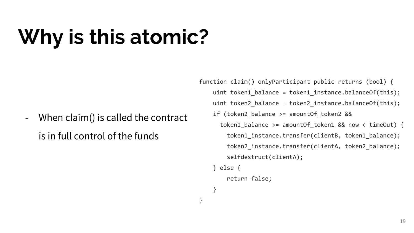# **Why is this atomic?**

- When claim() is called the contract is in full control of the funds

function claim() onlyParticipant public returns (bool) { uint token1 balance = token1 instance.balanceOf(this); uint token2\_balance = token2\_instance.balanceOf(this); if (token2\_balance >= amountOf\_token2 && token1 balance >= amountOf token1 && now < timeOut) { token1\_instance.transfer(clientB, token1\_balance); token2\_instance.transfer(clientA, token2\_balance); selfdestruct(clientA);

```
 } else {
```

```
 return false;
```

```
 }
```
}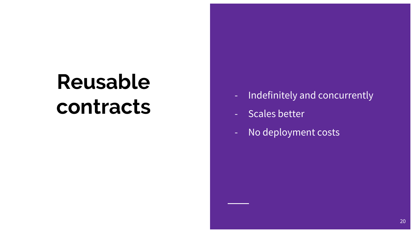# **Reusable contracts**

- Indefinitely and concurrently
- Scales better
- No deployment costs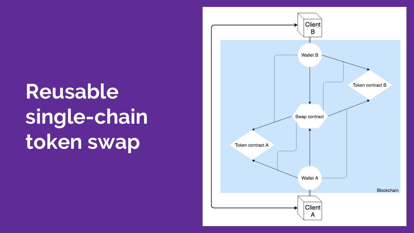# **Reusable single-chain token swap**

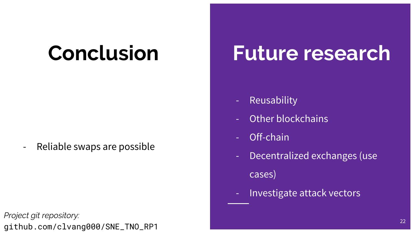### **Conclusion**

- Reliable swaps are possible

*Project git repository:* github.com/clvang000/SNE\_TNO\_RP1

#### **Future research**

- Reusability
- Other blockchains
- Off-chain
- Decentralized exchanges (use cases)
- Investigate attack vectors